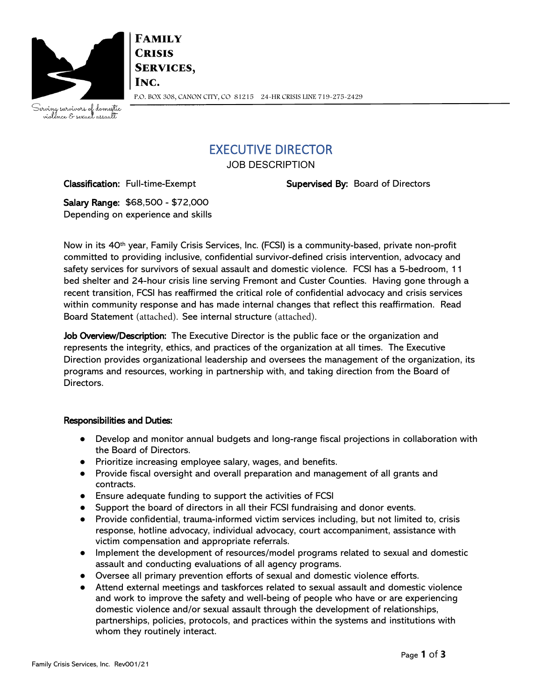

**FAMILY CRISIS SERVICES,** INC. P.O. BOX 308, CANON CITY, CO 81215 24-HR CRISIS LINE 719-275-2429

Serving survivors of domestic<br>violence & sexual assault

## EXECUTIVE DIRECTOR

JOB DESCRIPTION

Classification: Full-time-Exempt Supervised By: Board of Directors

Salary Range: \$68,500 - \$72,000 Depending on experience and skills

Now in its 40th year, Family Crisis Services, Inc. (FCSI) is a community-based, private non-profit committed to providing inclusive, confidential survivor-defined crisis intervention, advocacy and safety services for survivors of sexual assault and domestic violence. FCSI has a 5-bedroom, 11 bed shelter and 24-hour crisis line serving Fremont and Custer Counties. Having gone through a recent transition, FCSI has reaffirmed the critical role of confidential advocacy and crisis services within community response and has made internal changes that reflect this reaffirmation. Read Board Statement [\(attac](https://familycrisisservicesinc.sharepoint.com/Shared%20Documents/Program/Board%20Statement%20-%20July.pdf)hed). See internal str[ucture](https://familycrisisservicesinc.sharepoint.com/Shared%20Documents/Program/FCSI%20Staffing%20(3).pdf) (attached).

Job Overview/Description: The Executive Director is the public face or the organization and represents the integrity, ethics, and practices of the organization at all times. The Executive Direction provides organizational leadership and oversees the management of the organization, its programs and resources, working in partnership with, and taking direction from the Board of Directors.

### Responsibilities and Duties:

- Develop and monitor annual budgets and long-range fiscal projections in collaboration with the Board of Directors.
- Prioritize increasing employee salary, wages, and benefits.
- Provide fiscal oversight and overall preparation and management of all grants and contracts.
- Ensure adequate funding to support the activities of FCSI
- Support the board of directors in all their FCSI fundraising and donor events.
- Provide confidential, trauma-informed victim services including, but not limited to, crisis response, hotline advocacy, individual advocacy, court accompaniment, assistance with victim compensation and appropriate referrals.
- Implement the development of resources/model programs related to sexual and domestic assault and conducting evaluations of all agency programs.
- Oversee all primary prevention efforts of sexual and domestic violence efforts.
- Attend external meetings and taskforces related to sexual assault and domestic violence and work to improve the safety and well-being of people who have or are experiencing domestic violence and/or sexual assault through the development of relationships, partnerships, policies, protocols, and practices within the systems and institutions with whom they routinely interact.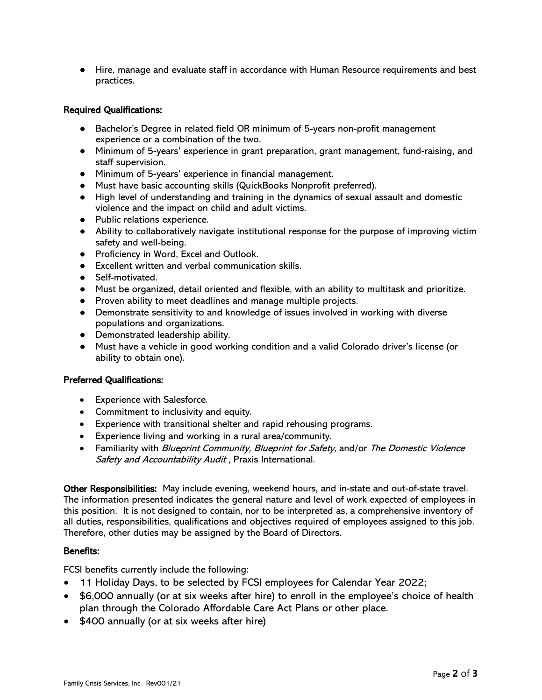● Hire, manage and evaluate staff in accordance with Human Resource requirements and best practices.

#### Required Qualifications:

- Bachelor's Degree in related field OR minimum of 5-years non-profit management experience or a combination of the two.
- Minimum of 5-years' experience in grant preparation, grant management, fund-raising, and staff supervision.
- Minimum of 5-years' experience in financial management.
- Must have basic accounting skills (QuickBooks Nonprofit preferred).
- High level of understanding and training in the dynamics of sexual assault and domestic violence and the impact on child and adult victims.
- Public relations experience.
- Ability to collaboratively navigate institutional response for the purpose of improving victim safety and well-being.
- Proficiency in Word, Excel and Outlook.
- Excellent written and verbal communication skills.
- Self-motivated.
- Must be organized, detail oriented and flexible, with an ability to multitask and prioritize.
- Proven ability to meet deadlines and manage multiple projects.
- Demonstrate sensitivity to and knowledge of issues involved in working with diverse populations and organizations.
- Demonstrated leadership ability.
- Must have a vehicle in good working condition and a valid Colorado driver's license (or ability to obtain one).

#### Preferred Qualifications:

- Experience with Salesforce.
- Commitment to inclusivity and equity.
- Experience with transitional shelter and rapid rehousing programs.
- Experience living and working in a rural area/community.
- Familiarity with *Blueprint Community, Blueprint for Safety*, and/or *The Domestic Violence* Safety and Accountability Audit, Praxis International.

Other Responsibilities: May include evening, weekend hours, and in-state and out-of-state travel. The information presented indicates the general nature and level of work expected of employees in this position. It is not designed to contain, nor to be interpreted as, a comprehensive inventory of all duties, responsibilities, qualifications and objectives required of employees assigned to this job. Therefore, other duties may be assigned by the Board of Directors.

#### Benefits:

FCSI benefits currently include the following:

- 11 Holiday Days, to be selected by FCSI employees for Calendar Year 2022;
- \$6,000 annually (or at six weeks after hire) to enroll in the employee's choice of health plan through the Colorado Affordable Care Act Plans or other place.
- \$400 annually (or at six weeks after hire)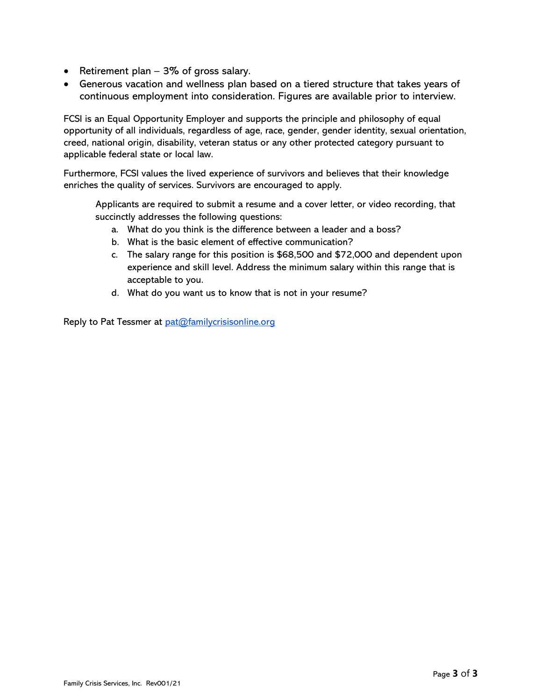- Retirement plan 3% of gross salary.
- Generous vacation and wellness plan based on a tiered structure that takes years of continuous employment into consideration. Figures are available prior to interview.

FCSI is an Equal Opportunity Employer and supports the principle and philosophy of equal opportunity of all individuals, regardless of age, race, gender, gender identity, sexual orientation, creed, national origin, disability, veteran status or any other protected category pursuant to applicable federal state or local law.

Furthermore, FCSI values the lived experience of survivors and believes that their knowledge enriches the quality of services. Survivors are encouraged to apply.

Applicants are required to submit a resume and a cover letter, or video recording, that succinctly addresses the following questions:

- a. What do you think is the difference between a leader and a boss?
- b. What is the basic element of effective communication?
- c. The salary range for this position is \$68,500 and \$72,000 and dependent upon experience and skill level. Address the minimum salary within this range that is acceptable to you.
- d. What do you want us to know that is not in your resume?

Reply to Pat Tessmer at [pat@familycrisisonline.org](mailto:pat@familycrisisonline.org)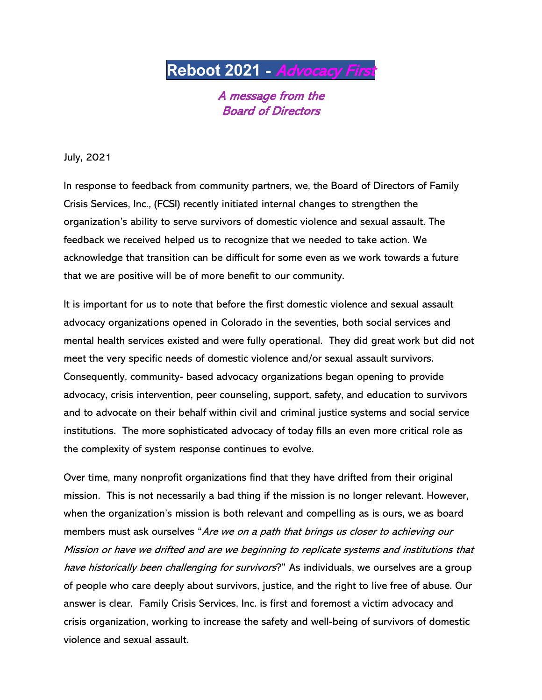# **Reboot 2021** - Advocacy First

A message from the Board of Directors

July, 2021

In response to feedback from community partners, we, the Board of Directors of Family Crisis Services, Inc., (FCSI) recently initiated internal changes to strengthen the organization's ability to serve survivors of domestic violence and sexual assault. The feedback we received helped us to recognize that we needed to take action. We acknowledge that transition can be difficult for some even as we work towards a future that we are positive will be of more benefit to our community.

It is important for us to note that before the first domestic violence and sexual assault advocacy organizations opened in Colorado in the seventies, both social services and mental health services existed and were fully operational. They did great work but did not meet the very specific needs of domestic violence and/or sexual assault survivors. Consequently, community- based advocacy organizations began opening to provide advocacy, crisis intervention, peer counseling, support, safety, and education to survivors and to advocate on their behalf within civil and criminal justice systems and social service institutions. The more sophisticated advocacy of today fills an even more critical role as the complexity of system response continues to evolve.

Over time, many nonprofit organizations find that they have drifted from their original mission. This is not necessarily a bad thing if the mission is no longer relevant. However, when the organization's mission is both relevant and compelling as is ours, we as board members must ask ourselves "Are we on a path that brings us closer to achieving our Mission or have we drifted and are we beginning to replicate systems and institutions that have historically been challenging for survivors?" As individuals, we ourselves are a group of people who care deeply about survivors, justice, and the right to live free of abuse. Our answer is clear. Family Crisis Services, Inc. is first and foremost a victim advocacy and crisis organization, working to increase the safety and well-being of survivors of domestic violence and sexual assault.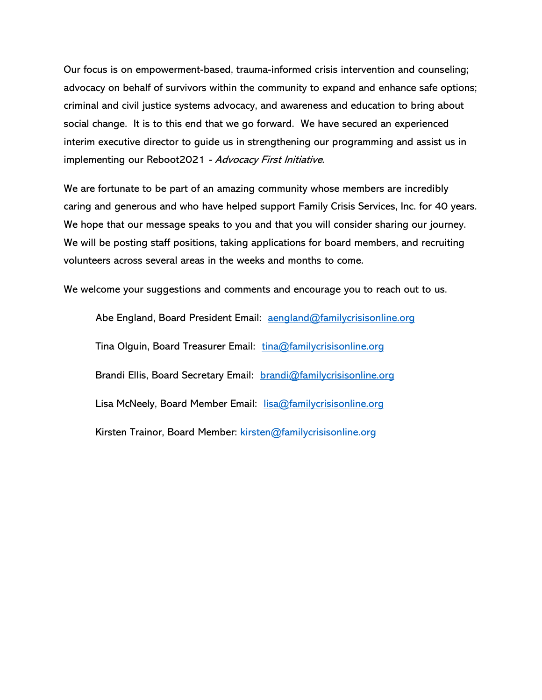Our focus is on empowerment-based, trauma-informed crisis intervention and counseling; advocacy on behalf of survivors within the community to expand and enhance safe options; criminal and civil justice systems advocacy, and awareness and education to bring about social change. It is to this end that we go forward. We have secured an experienced interim executive director to guide us in strengthening our programming and assist us in implementing our Reboot2021 - Advocacy First Initiative.

We are fortunate to be part of an amazing community whose members are incredibly caring and generous and who have helped support Family Crisis Services, Inc. for 40 years. We hope that our message speaks to you and that you will consider sharing our journey. We will be posting staff positions, taking applications for board members, and recruiting volunteers across several areas in the weeks and months to come.

We welcome your suggestions and comments and encourage you to reach out to us.

Abe England, Board President Email: [aengland@familycrisisonline.org](mailto:aengland@familycrisisonline.org) Tina Olguin, Board Treasurer Email: [tina@familycrisisonline.org](mailto:tina@familycrisisonline.org) Brandi Ellis, Board Secretary Email: [brandi@familycrisisonline.org](mailto:brandi@familycrisisonline.org) Lisa McNeely, Board Member Email: [lisa@familycrisisonline.org](mailto:lisa@familycrisisonline.org) Kirsten Trainor, Board Member: [kirsten@familycrisisonline.org](mailto:kirsten@familycrisisonline.org)